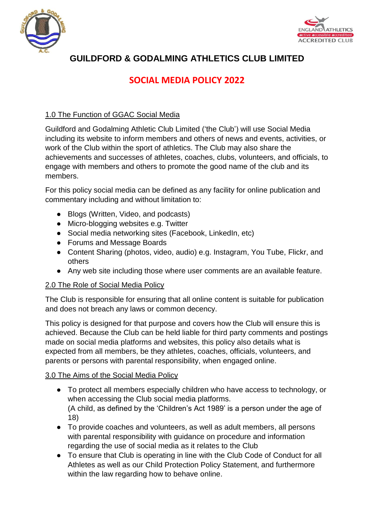



## **GUILDFORD & GODALMING ATHLETICS CLUB LIMITED**

## **SOCIAL MEDIA POLICY 2022**

## 1.0 The Function of GGAC Social Media

Guildford and Godalming Athletic Club Limited ('the Club') will use Social Media including its website to inform members and others of news and events, activities, or work of the Club within the sport of athletics. The Club may also share the achievements and successes of athletes, coaches, clubs, volunteers, and officials, to engage with members and others to promote the good name of the club and its members.

For this policy social media can be defined as any facility for online publication and commentary including and without limitation to:

- Blogs (Written, Video, and podcasts)
- Micro-blogging websites e.g. Twitter
- Social media networking sites (Facebook, LinkedIn, etc)
- Forums and Message Boards
- Content Sharing (photos, video, audio) e.g. Instagram, You Tube, Flickr, and others
- Any web site including those where user comments are an available feature.

## 2.0 The Role of Social Media Policy

The Club is responsible for ensuring that all online content is suitable for publication and does not breach any laws or common decency.

This policy is designed for that purpose and covers how the Club will ensure this is achieved. Because the Club can be held liable for third party comments and postings made on social media platforms and websites, this policy also details what is expected from all members, be they athletes, coaches, officials, volunteers, and parents or persons with parental responsibility, when engaged online.

## 3.0 The Aims of the Social Media Policy

- To protect all members especially children who have access to technology, or when accessing the Club social media platforms. (A child, as defined by the 'Children's Act 1989' is a person under the age of 18)
- To provide coaches and volunteers, as well as adult members, all persons with parental responsibility with guidance on procedure and information regarding the use of social media as it relates to the Club
- To ensure that Club is operating in line with the Club Code of Conduct for all Athletes as well as our Child Protection Policy Statement, and furthermore within the law regarding how to behave online.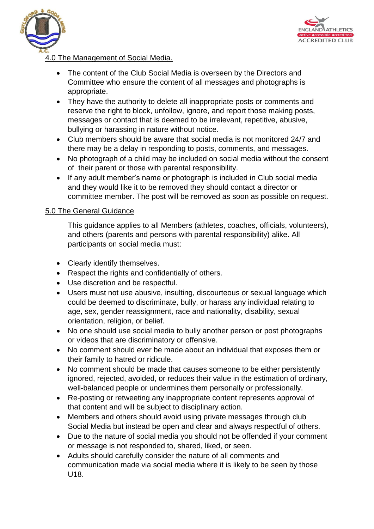



## 4.0 The Management of Social Media.

- The content of the Club Social Media is overseen by the Directors and Committee who ensure the content of all messages and photographs is appropriate.
- They have the authority to delete all inappropriate posts or comments and reserve the right to block, unfollow, ignore, and report those making posts, messages or contact that is deemed to be irrelevant, repetitive, abusive, bullying or harassing in nature without notice.
- Club members should be aware that social media is not monitored 24/7 and there may be a delay in responding to posts, comments, and messages.
- No photograph of a child may be included on social media without the consent of their parent or those with parental responsibility.
- If any adult member's name or photograph is included in Club social media and they would like it to be removed they should contact a director or committee member. The post will be removed as soon as possible on request.

#### 5.0 The General Guidance

This guidance applies to all Members (athletes, coaches, officials, volunteers), and others (parents and persons with parental responsibility) alike. All participants on social media must:

- Clearly identify themselves.
- Respect the rights and confidentially of others.
- Use discretion and be respectful.
- Users must not use abusive, insulting, discourteous or sexual language which could be deemed to discriminate, bully, or harass any individual relating to age, sex, gender reassignment, race and nationality, disability, sexual orientation, religion, or belief.
- No one should use social media to bully another person or post photographs or videos that are discriminatory or offensive.
- No comment should ever be made about an individual that exposes them or their family to hatred or ridicule.
- No comment should be made that causes someone to be either persistently ignored, rejected, avoided, or reduces their value in the estimation of ordinary, well-balanced people or undermines them personally or professionally.
- Re-posting or retweeting any inappropriate content represents approval of that content and will be subject to disciplinary action.
- Members and others should avoid using private messages through club Social Media but instead be open and clear and always respectful of others.
- Due to the nature of social media you should not be offended if your comment or message is not responded to, shared, liked, or seen.
- Adults should carefully consider the nature of all comments and communication made via social media where it is likely to be seen by those U18.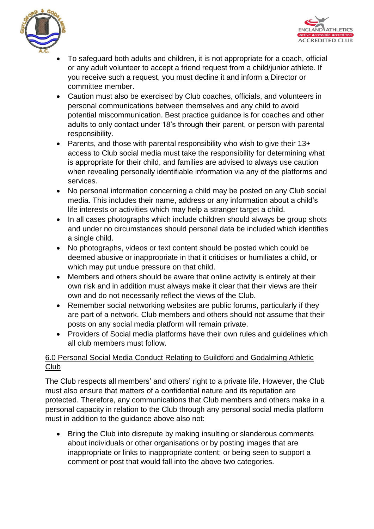



- To safeguard both adults and children, it is not appropriate for a coach, official or any adult volunteer to accept a friend request from a child/junior athlete. If you receive such a request, you must decline it and inform a Director or committee member.
- Caution must also be exercised by Club coaches, officials, and volunteers in personal communications between themselves and any child to avoid potential miscommunication. Best practice guidance is for coaches and other adults to only contact under 18's through their parent, or person with parental responsibility.
- Parents, and those with parental responsibility who wish to give their 13+ access to Club social media must take the responsibility for determining what is appropriate for their child, and families are advised to always use caution when revealing personally identifiable information via any of the platforms and services.
- No personal information concerning a child may be posted on any Club social media. This includes their name, address or any information about a child's life interests or activities which may help a stranger target a child.
- In all cases photographs which include children should always be group shots and under no circumstances should personal data be included which identifies a single child.
- No photographs, videos or text content should be posted which could be deemed abusive or inappropriate in that it criticises or humiliates a child, or which may put undue pressure on that child.
- Members and others should be aware that online activity is entirely at their own risk and in addition must always make it clear that their views are their own and do not necessarily reflect the views of the Club.
- Remember social networking websites are public forums, particularly if they are part of a network. Club members and others should not assume that their posts on any social media platform will remain private.
- Providers of Social media platforms have their own rules and guidelines which all club members must follow.

## 6.0 Personal Social Media Conduct Relating to Guildford and Godalming Athletic Club

The Club respects all members' and others' right to a private life. However, the Club must also ensure that matters of a confidential nature and its reputation are protected. Therefore, any communications that Club members and others make in a personal capacity in relation to the Club through any personal social media platform must in addition to the guidance above also not:

• Bring the Club into disrepute by making insulting or slanderous comments about individuals or other organisations or by posting images that are inappropriate or links to inappropriate content; or being seen to support a comment or post that would fall into the above two categories.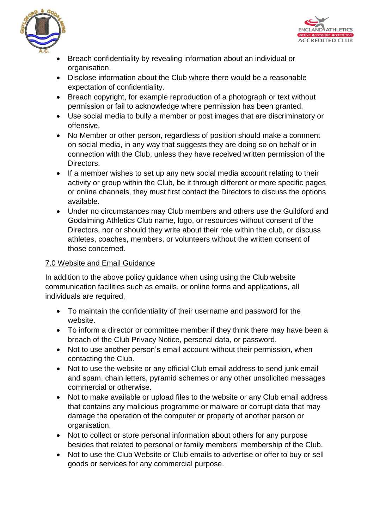



- Breach confidentiality by revealing information about an individual or organisation.
- Disclose information about the Club where there would be a reasonable expectation of confidentiality.
- Breach copyright, for example reproduction of a photograph or text without permission or fail to acknowledge where permission has been granted.
- Use social media to bully a member or post images that are discriminatory or offensive.
- No Member or other person, regardless of position should make a comment on social media, in any way that suggests they are doing so on behalf or in connection with the Club, unless they have received written permission of the Directors.
- If a member wishes to set up any new social media account relating to their activity or group within the Club, be it through different or more specific pages or online channels, they must first contact the Directors to discuss the options available.
- Under no circumstances may Club members and others use the Guildford and Godalming Athletics Club name, logo, or resources without consent of the Directors, nor or should they write about their role within the club, or discuss athletes, coaches, members, or volunteers without the written consent of those concerned.

## 7.0 Website and Email Guidance

In addition to the above policy guidance when using using the Club website communication facilities such as emails, or online forms and applications, all individuals are required,

- To maintain the confidentiality of their username and password for the website.
- To inform a director or committee member if they think there may have been a breach of the Club Privacy Notice, personal data, or password.
- Not to use another person's email account without their permission, when contacting the Club.
- Not to use the website or any official Club email address to send junk email and spam, chain letters, pyramid schemes or any other unsolicited messages commercial or otherwise.
- Not to make available or upload files to the website or any Club email address that contains any malicious programme or malware or corrupt data that may damage the operation of the computer or property of another person or organisation.
- Not to collect or store personal information about others for any purpose besides that related to personal or family members' membership of the Club.
- Not to use the Club Website or Club emails to advertise or offer to buy or sell goods or services for any commercial purpose.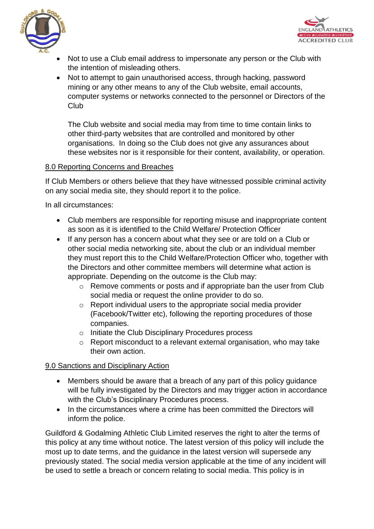



- Not to use a Club email address to impersonate any person or the Club with the intention of misleading others.
- Not to attempt to gain unauthorised access, through hacking, password mining or any other means to any of the Club website, email accounts, computer systems or networks connected to the personnel or Directors of the Club

The Club website and social media may from time to time contain links to other third-party websites that are controlled and monitored by other organisations. In doing so the Club does not give any assurances about these websites nor is it responsible for their content, availability, or operation.

#### 8.0 Reporting Concerns and Breaches

If Club Members or others believe that they have witnessed possible criminal activity on any social media site, they should report it to the police.

In all circumstances:

- Club members are responsible for reporting misuse and inappropriate content as soon as it is identified to the Child Welfare/ Protection Officer
- If any person has a concern about what they see or are told on a Club or other social media networking site, about the club or an individual member they must report this to the Child Welfare/Protection Officer who, together with the Directors and other committee members will determine what action is appropriate. Depending on the outcome is the Club may:
	- o Remove comments or posts and if appropriate ban the user from Club social media or request the online provider to do so.
	- o Report individual users to the appropriate social media provider (Facebook/Twitter etc), following the reporting procedures of those companies.
	- o Initiate the Club Disciplinary Procedures process
	- o Report misconduct to a relevant external organisation, who may take their own action.

## 9.0 Sanctions and Disciplinary Action

- Members should be aware that a breach of any part of this policy guidance will be fully investigated by the Directors and may trigger action in accordance with the Club's Disciplinary Procedures process.
- In the circumstances where a crime has been committed the Directors will inform the police.

Guildford & Godalming Athletic Club Limited reserves the right to alter the terms of this policy at any time without notice. The latest version of this policy will include the most up to date terms, and the guidance in the latest version will supersede any previously stated. The social media version applicable at the time of any incident will be used to settle a breach or concern relating to social media. This policy is in